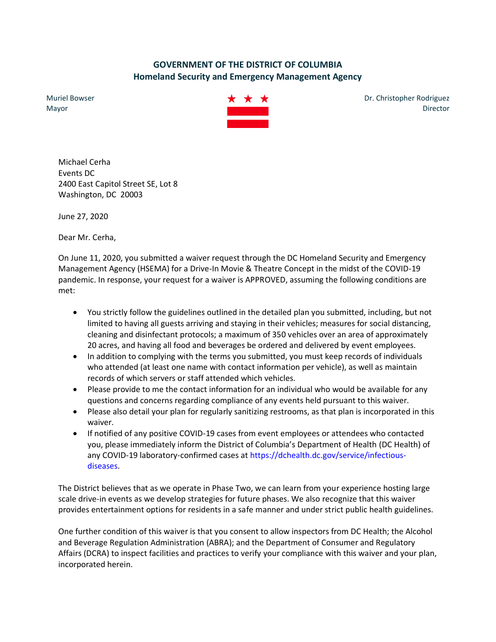## **GOVERNMENT OF THE DISTRICT OF COLUMBIA Homeland Security and Emergency Management Agency**

Muriel Bowser Mayor



Dr. Christopher Rodriguez Director

Michael Cerha Events DC 2400 East Capitol Street SE, Lot 8 Washington, DC 20003

June 27, 2020

Dear Mr. Cerha,

On June 11, 2020, you submitted a waiver request through the DC Homeland Security and Emergency Management Agency (HSEMA) for a Drive-In Movie & Theatre Concept in the midst of the COVID-19 pandemic. In response, your request for a waiver is APPROVED, assuming the following conditions are met:

- You strictly follow the guidelines outlined in the detailed plan you submitted, including, but not limited to having all guests arriving and staying in their vehicles; measures for social distancing, cleaning and disinfectant protocols; a maximum of 350 vehicles over an area of approximately 20 acres, and having all food and beverages be ordered and delivered by event employees.
- In addition to complying with the terms you submitted, you must keep records of individuals who attended (at least one name with contact information per vehicle), as well as maintain records of which servers or staff attended which vehicles.
- Please provide to me the contact information for an individual who would be available for any questions and concerns regarding compliance of any events held pursuant to this waiver.
- Please also detail your plan for regularly sanitizing restrooms, as that plan is incorporated in this waiver.
- If notified of any positive COVID-19 cases from event employees or attendees who contacted you, please immediately inform the District of Columbia's Department of Health (DC Health) of any COVID-19 laboratory-confirmed cases at https://dchealth.dc.gov/service/infectiousdiseases.

The District believes that as we operate in Phase Two, we can learn from your experience hosting large scale drive-in events as we develop strategies for future phases. We also recognize that this waiver provides entertainment options for residents in a safe manner and under strict public health guidelines.

One further condition of this waiver is that you consent to allow inspectors from DC Health; the Alcohol and Beverage Regulation Administration (ABRA); and the Department of Consumer and Regulatory Affairs (DCRA) to inspect facilities and practices to verify your compliance with this waiver and your plan, incorporated herein.